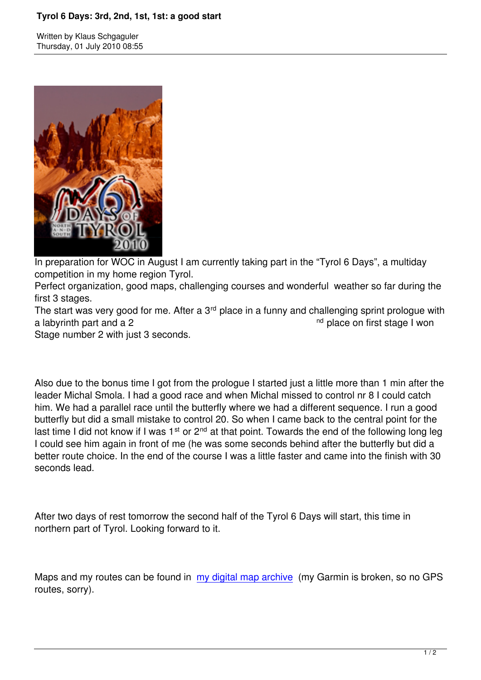

In preparation for WOC in August I am currently taking part in the "Tyrol 6 Days", a multiday competition in my home region Tyrol.

Perfect organization, good maps, challenging courses and wonderful weather so far during the first 3 stages.

The start was very good for me. After a 3<sup>rd</sup> place in a funny and challenging sprint prologue with a labyrinth part and a 2 nd place on first stage I won

Stage number 2 with just 3 seconds.

Also due to the bonus time I got from the prologue I started just a little more than 1 min after the leader Michal Smola. I had a good race and when Michal missed to control nr 8 I could catch him. We had a parallel race until the butterfly where we had a different sequence. I run a good butterfly but did a small mistake to control 20. So when I came back to the central point for the last time I did not know if I was  $1^{st}$  or  $2^{nd}$  at that point. Towards the end of the following long leg I could see him again in front of me (he was some seconds behind after the butterfly but did a better route choice. In the end of the course I was a little faster and came into the finish with 30 seconds lead.

After two days of rest tomorrow the second half of the Tyrol 6 Days will start, this time in northern part of Tyrol. Looking forward to it.

Maps and my routes can be found in my digital map archive (my Garmin is broken, so no GPS routes, sorry).